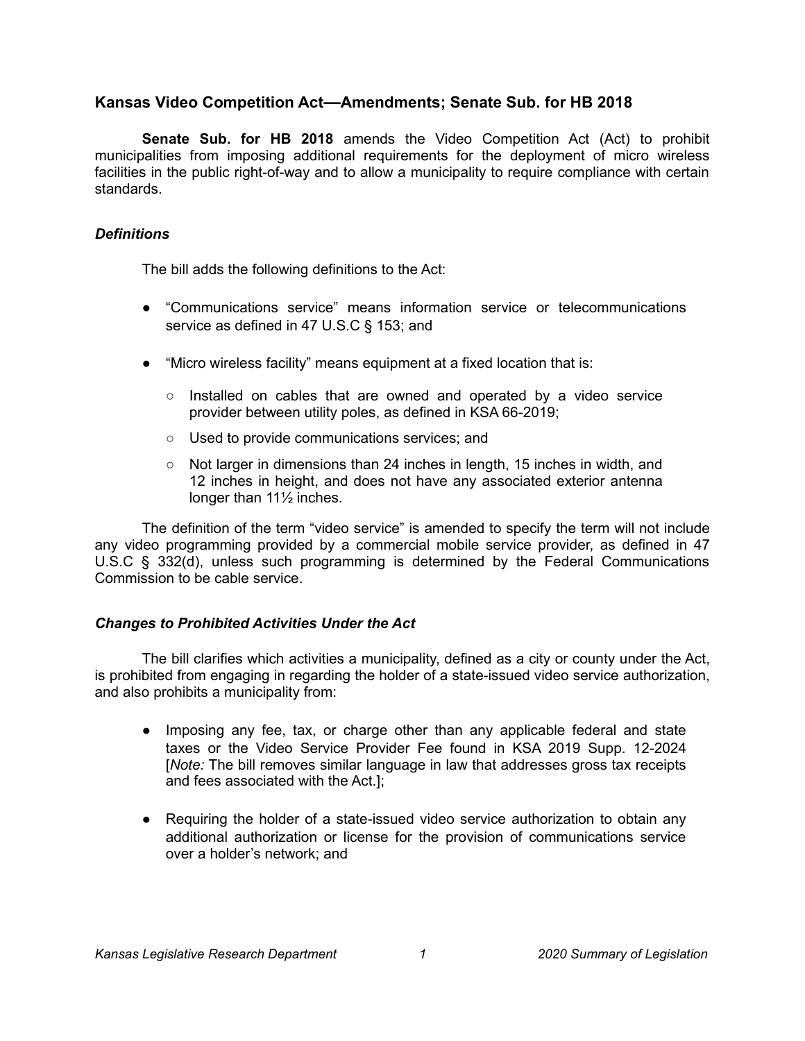# **Kansas Video Competition Act—Amendments; Senate Sub. for HB 2018**

**Senate Sub. for HB 2018** amends the Video Competition Act (Act) to prohibit municipalities from imposing additional requirements for the deployment of micro wireless facilities in the public right-of-way and to allow a municipality to require compliance with certain standards.

## *Definitions*

The bill adds the following definitions to the Act:

- "Communications service" means information service or telecommunications service as defined in 47 U.S.C § 153; and
- "Micro wireless facility" means equipment at a fixed location that is:
	- Installed on cables that are owned and operated by a video service provider between utility poles, as defined in KSA 66-2019;
	- Used to provide communications services; and
	- $\circ$  Not larger in dimensions than 24 inches in length, 15 inches in width, and 12 inches in height, and does not have any associated exterior antenna longer than 11½ inches.

The definition of the term "video service" is amended to specify the term will not include any video programming provided by a commercial mobile service provider, as defined in 47 U.S.C § 332(d), unless such programming is determined by the Federal Communications Commission to be cable service.

# *Changes to Prohibited Activities Under the Act*

The bill clarifies which activities a municipality, defined as a city or county under the Act, is prohibited from engaging in regarding the holder of a state-issued video service authorization, and also prohibits a municipality from:

- Imposing any fee, tax, or charge other than any applicable federal and state taxes or the Video Service Provider Fee found in KSA 2019 Supp. 12-2024 [*Note:* The bill removes similar language in law that addresses gross tax receipts and fees associated with the Act.];
- Requiring the holder of a state-issued video service authorization to obtain any additional authorization or license for the provision of communications service over a holder's network; and